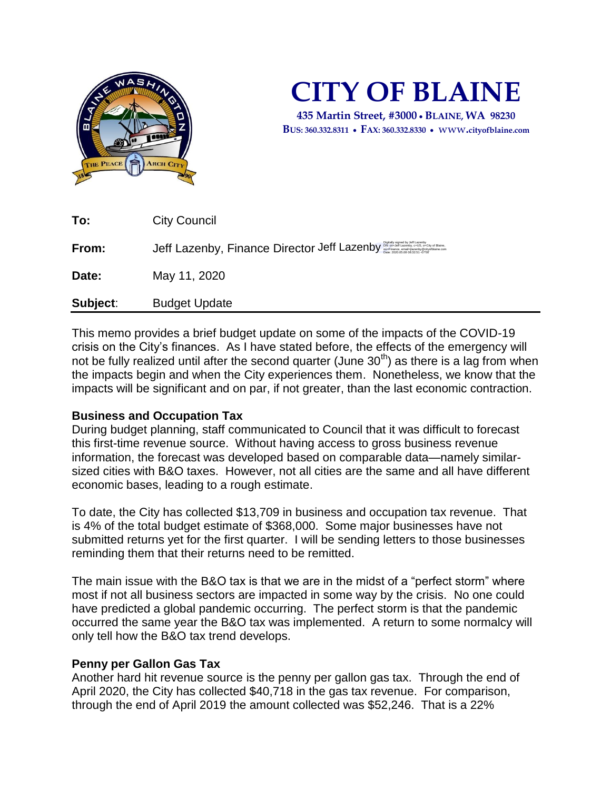

# **CITY OF BLAINE**

**435 Martin Street, #3000 BLAINE, WA 98230 BUS: 360.332.8311 FAX: 360.332.8330**  www**.cityofblaine.com**

| To:      | <b>City Council</b>                                                                                                                                                            |
|----------|--------------------------------------------------------------------------------------------------------------------------------------------------------------------------------|
| From:    | Digitally signed by Jeff Lazenby<br>DN: cn=Jeff Lazenby, c=US, o=City of Blaine,<br>ou=Finance, email=jlazenby@cityofblaine.com<br>Jeff Lazenby, Finance Director Jeff Lazenby |
| Date:    | May 11, 2020                                                                                                                                                                   |
| Subject: | <b>Budget Update</b>                                                                                                                                                           |

This memo provides a brief budget update on some of the impacts of the COVID-19 crisis on the City's finances. As I have stated before, the effects of the emergency will not be fully realized until after the second quarter (June  $30<sup>th</sup>$ ) as there is a lag from when the impacts begin and when the City experiences them. Nonetheless, we know that the impacts will be significant and on par, if not greater, than the last economic contraction.

## **Business and Occupation Tax**

During budget planning, staff communicated to Council that it was difficult to forecast this first-time revenue source. Without having access to gross business revenue information, the forecast was developed based on comparable data—namely similarsized cities with B&O taxes. However, not all cities are the same and all have different economic bases, leading to a rough estimate.

To date, the City has collected \$13,709 in business and occupation tax revenue. That is 4% of the total budget estimate of \$368,000. Some major businesses have not submitted returns yet for the first quarter. I will be sending letters to those businesses reminding them that their returns need to be remitted.

The main issue with the B&O tax is that we are in the midst of a "perfect storm" where most if not all business sectors are impacted in some way by the crisis. No one could have predicted a global pandemic occurring. The perfect storm is that the pandemic occurred the same year the B&O tax was implemented. A return to some normalcy will only tell how the B&O tax trend develops.

## **Penny per Gallon Gas Tax**

Another hard hit revenue source is the penny per gallon gas tax. Through the end of April 2020, the City has collected \$40,718 in the gas tax revenue. For comparison, through the end of April 2019 the amount collected was \$52,246. That is a 22%